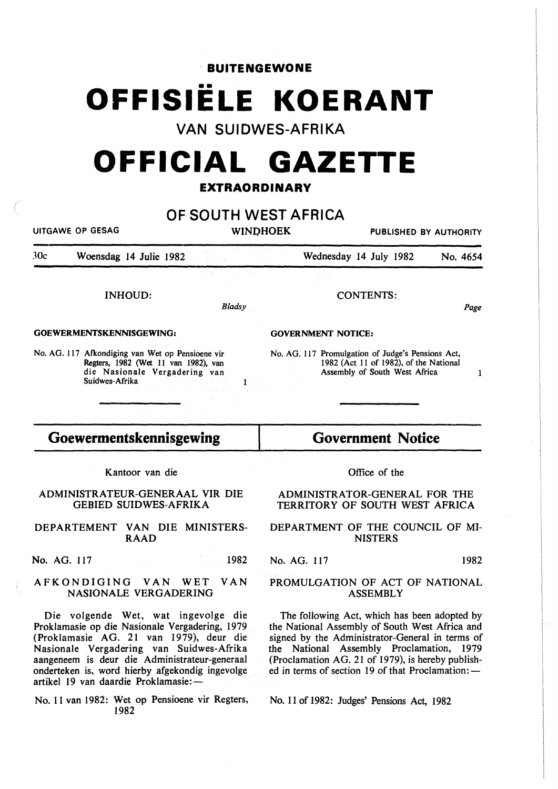· **BUITENGEWONE** 

# **OFFISIELE KOERANT**

**VAN SUIDWES-AFRIKA** 

## **OFFICIAL GAZETTE**

### **EXTRAORDINARY**

|                                                                 | <b>UITGAWE OP GESAG</b>                                                                                                                                                                                                                                                                                                  |        | OF SOUTH WEST AFRICA<br><b>WINDHOEK</b>                                                                                                                                                                                                                                                                 | PUBLISHED BY AUTHORITY                                                  |          |  |
|-----------------------------------------------------------------|--------------------------------------------------------------------------------------------------------------------------------------------------------------------------------------------------------------------------------------------------------------------------------------------------------------------------|--------|---------------------------------------------------------------------------------------------------------------------------------------------------------------------------------------------------------------------------------------------------------------------------------------------------------|-------------------------------------------------------------------------|----------|--|
| 30c                                                             | Woensdag 14 Julie 1982                                                                                                                                                                                                                                                                                                   |        | Wednesday 14 July 1982                                                                                                                                                                                                                                                                                  |                                                                         | No. 4654 |  |
|                                                                 | <b>INHOUD:</b>                                                                                                                                                                                                                                                                                                           | Bladsy |                                                                                                                                                                                                                                                                                                         | CONTENTS:                                                               | Page     |  |
| GOEWERMENTSKENNISGEWING:                                        |                                                                                                                                                                                                                                                                                                                          |        | <b>GOVERNMENT NOTICE:</b>                                                                                                                                                                                                                                                                               |                                                                         |          |  |
|                                                                 | No. AG. 117 Afkondiging van Wet op Pensioene vir<br>Regters, 1982 (Wet 11 van 1982), van<br>die Nasionale Vergadering van<br>Suidwes-Afrika                                                                                                                                                                              |        | No. AG. 117 Promulgation of Judge's Pensions Act,                                                                                                                                                                                                                                                       | 1982 (Act 11 of 1982), of the National<br>Assembly of South West Africa | 1        |  |
| Goewermentskennisgewing                                         |                                                                                                                                                                                                                                                                                                                          |        | <b>Government Notice</b>                                                                                                                                                                                                                                                                                |                                                                         |          |  |
|                                                                 | Kantoor van die                                                                                                                                                                                                                                                                                                          |        |                                                                                                                                                                                                                                                                                                         | Office of the                                                           |          |  |
| ADMINISTRATEUR-GENERAAL VIR DIE<br><b>GEBIED SUIDWES-AFRIKA</b> |                                                                                                                                                                                                                                                                                                                          |        | ADMINISTRATOR-GENERAL FOR THE<br>TERRITORY OF SOUTH WEST AFRICA                                                                                                                                                                                                                                         |                                                                         |          |  |
|                                                                 | DEPARTEMENT VAN DIE MINISTERS-<br><b>RAAD</b>                                                                                                                                                                                                                                                                            |        | DEPARTMENT OF THE COUNCIL OF MI-                                                                                                                                                                                                                                                                        | <b>NISTERS</b>                                                          |          |  |
| No. AG. 117                                                     |                                                                                                                                                                                                                                                                                                                          | 1982   | No. AG. 117                                                                                                                                                                                                                                                                                             |                                                                         | 1982     |  |
| AFKONDIGING VAN<br><b>VAN</b><br>WET<br>NASIONALE VERGADERING   |                                                                                                                                                                                                                                                                                                                          |        | PROMULGATION OF ACT OF NATIONAL<br><b>ASSEMBLY</b>                                                                                                                                                                                                                                                      |                                                                         |          |  |
|                                                                 | Die volgende Wet, wat ingevolge die<br>Proklamasie op die Nasionale Vergadering, 1979<br>(Proklamasie AG. 21 van 1979), deur die<br>Nasionale Vergadering van Suidwes-Afrika<br>aangeneem is deur die Administrateur-generaal<br>onderteken is, word hierby afgekondig ingevolge<br>artikel 19 van daardie Proklamasie:- |        | The following Act, which has been adopted by<br>the National Assembly of South West Africa and<br>signed by the Administrator-General in terms of<br>the National Assembly Proclamation, 1979<br>(Proclamation AG. 21 of 1979), is hereby publish-<br>ed in terms of section 19 of that Proclamation: — |                                                                         |          |  |

No. 11 van 1982: Wet op Pensioene vir Regters, No. 11 of 1982: Judges' Pensions Act, 1982 1982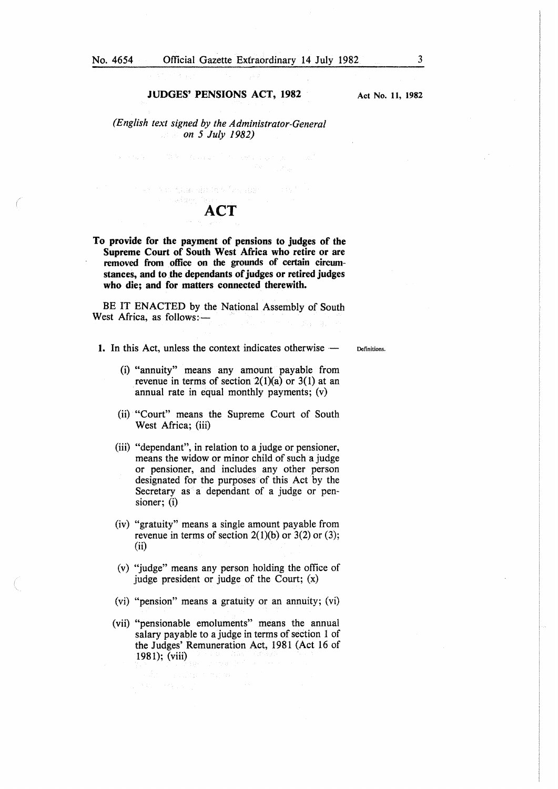Act No. II, 1982

*(English text signed by the Administrator-General on 5 July 1982)* 

 $\mathbb{E} \left[ \mathbf{v} \cdot \mathbf{v} \cdot \mathbf{v} \right] = \left[ \begin{array}{cc} \mathbb{E} \left[ \mathbf{v} \cdot \mathbf{v} \right] & \mathbb{E} \left[ \mathbf{v} \cdot \mathbf{v} \right] & \mathbb{E} \left[ \mathbf{v} \cdot \mathbf{v} \right] & \mathbb{E} \left[ \mathbf{v} \cdot \mathbf{v} \right] & \mathbb{E} \left[ \mathbf{v} \cdot \mathbf{v} \right] & \mathbb{E} \left[ \mathbf{v} \cdot \mathbf{v} \right] & \mathbb{E} \left[ \mathbf{$ 

nasiden.

### ACT

we was guarable to finance and their

To provide for the payment of pensions to judges of the Supreme Court of South West Africa who retire or are removed from office on the grounds of certain circumstances, and to the dependants of judges or retired judges who die; and for matters connected therewith.

BE IT ENACTED by the National Assembly of South West Africa, as follows:-

1. In this Act, unless the context indicates otherwise -

Definitions.

- (i) "annuity" means any amount payable from revenue in terms of section  $2(1)(a)$  or  $3(1)$  at an annual rate in equal monthly payments; (v)
- (ii) "Court" means the Supreme Court of South West Africa; (iii)
- (iii) "dependant", in relation to a judge or pensioner, means the widow or minor child of such a judge or pensioner, and includes any other person designated for the purposes of this Act by the Secretary as a dependant of a judge or pensioner; (i)
- (iv) "gratuity" means a single amount payable from revenue in terms of section  $2(1)(b)$  or  $3(2)$  or  $(3)$ ; (ii)
- (v) "judge" means any person holding the office of judge president or judge of the Court; (x)
- (vi) "pension" means a gratuity or an annuity; (vi)
- (vii) "pensionable emoluments" means the annual salary payable to a judge in terms of section 1 of the Judges' Remuneration Act, 1981 (Act 16 of 1981); (viii)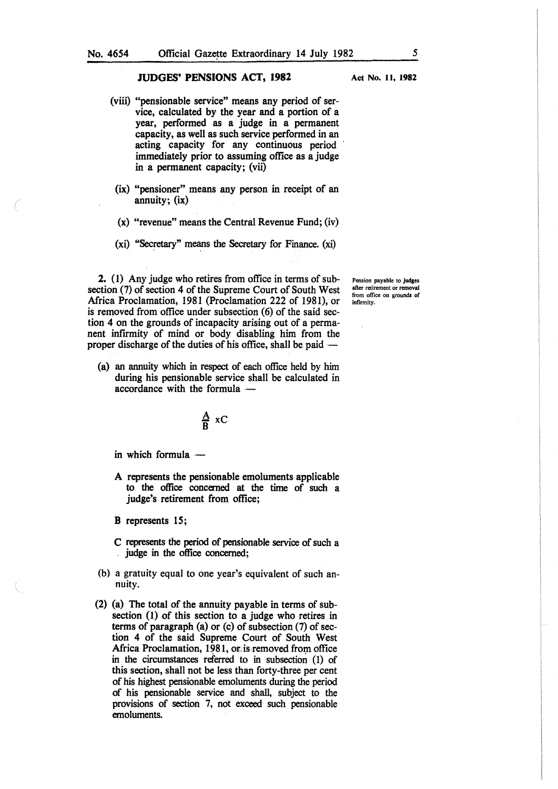- (viii) "pensionable service" means any period of service, calculated by the year and a portion of a year, performed as a judge in a permanent capacity, as well as such service performed in an acting capacity for any continuous period immediately prior to assuming office as a judge in a permanent capacity; (vii)
- (ix) "pensioner" means any person in receipt of an annuity; (ix)
- (x) "revenue" means the Central Revenue Fund; (iv)
- (xi) "Secretary" means the Secretary for Finance. (xi)

2. (1) Any judge who retires from office in terms of subsection (7) of section 4 of the Supreme Court of South West Africa Proclamation, 1981 (Proclamation 222 of 1981), or is removed from office under subsection (6) of the said section 4 on the grounds of incapacity arising out of a permanent infirmity of mind or body disabling him from the proper discharge of the duties of his office, shall be paid  $-$ 

(a) an annuity which in respect of each office held by him during his pensionable service shall be calculated in accordance with the formula --

$$
\frac{A}{B} \times C
$$

in which formula  $-$ 

A represents the pensionable emoluments applicable to the office concerned at the time of such a judge's retirement from office;

B represents 15;

- C represents the period of pensionable service of such a judge in the office concerned;
- (b) a gratuity equal to one year's equivalent of such annuity.
- (2) (a) The total of the annuity payable in terms of subsection (1) of this section to a judge who retires in terms of paragraph (a) or (c) of subsection (7) of section 4 of the said Supreme Court of South West Africa Proclamation, 1981, or is removed from office in the circumstances referred to in subsection (1) of this section, shall not be less than forty-three per cent of his highest pensionable emoluments during the period of his pensionable service and shall, subject to the provisions of section 7, not exceed such pensionable emoluments.

Act No. II, 1982

Pension payable to judges after retirement or removal from office on grounds of infirmity.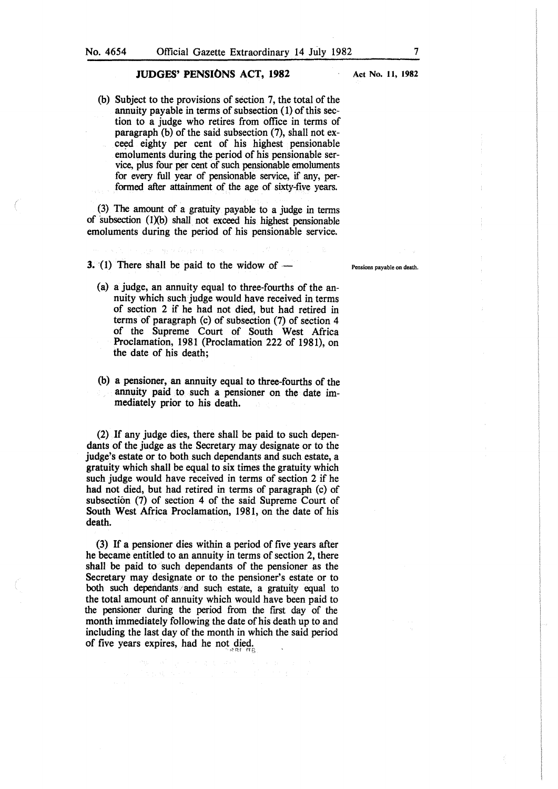Act No. 11, 1982

(b) Subject to the provisions of section 7, the total of the annuity payable in terms of subsection (1) of this section to a judge who retires from office in terms of paragraph (b) of the said subsection (7), shall not exceed eighty per cent of his highest pensionable emoluments during the period of his pensionable service, plus four per cent of such pensionable emoluments for every full year of pensionable service, if any, performed after attainment of the age of sixty-five years.

(3) The amount of a gratuity payable to a judge in terms of subsection  $(l)(b)$  shall not exceed his highest pensionable emoluments during the period of his pensionable service.

**3.** (1) There shall be paid to the widow of  $-$ 

- (a) a judge, an annuity equal to three-fourths of the annuity which such judge would have received in terms of section 2 if he had not died, but had retired in terms of paragraph (c) of subsection (7) of section 4 of the Supreme Court of South West Africa Proclamation, 1981 (Proclamation 222 of 1981), on the date of his death;
- (b) a pensioner, an annuity equal to three-fourths of the annuity paid to such a pensioner on the date immediately prior to his death.

(2) If any judge dies, there shall be paid to such dependants of the judge as the Secretary may designate or to the judge's estate or to both such dependants and such estate, a gratuity which shall be equal to six times the gratuity which such judge would have received in terms of section 2 if he had not died, but had retired in terms of paragraph (c) of subsection (7) of section 4 of the said Supreme Court of South West Africa Proclamation, 1981, on the date of his death.

(3) If a pensioner dies within a period of five years after he became entitled to an annuity in terms of section 2, there shall be paid to such dependants of the pensioner as the Secretary may designate or to the pensioner's estate or to both such dependants/and such estate, a gratuity equal to the total amount of annuity which would have been paid to the pensioner during the period from the frrst day of the month immediately following the date of his death up to and including the last day of the month in which the said period of five years expires, had he not died.

Pensions payable on death.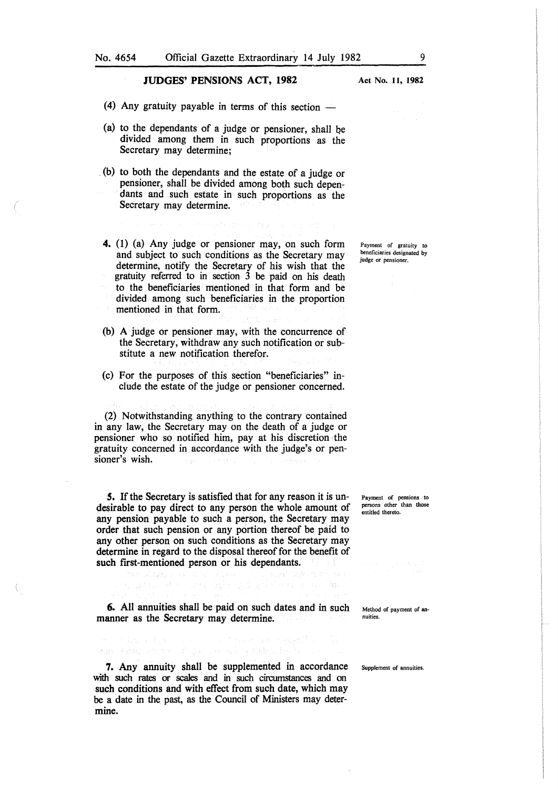- (4) Any gratuity payable in terms of this section  $-$
- (a) to the dependants of a judge or pensioner, shall he divided among them in such proportions as the Secretary may determine;
- . (b) to both the dependants and the estate of a judge or pensioner, shall be divided among both such dependants and such estate in such proportions as the Secretary may determine.
- 4. (1) (a) Any judge or pensioner may, on such form and subject to such conditions as the Secretary may determine, notify the Secretary of his wish that the gratuity referred to in section 3 be paid on his death to the beneficiaries mentioned in that form and be divided among such beneficiaries in the proportion mentioned in that form.
- (b) A judge or pensioner may, with the concurrence of the Secretary, withdraw any such notification or substitute a new notification therefor.
- (c) For the purposes of this section "beneficiaries" include the estate of the judge or pensioner concerned.

(2) Notwithstanding anything to the contrary contained in any law, the Secretary may on the death of a judge or pensioner who so notified him, pay at his discretion the gratuity concerned in accordance with the judge's or pensioner's wish.

*S.* If the Secretary is satisfied that for any reason it is undesirable to pay direct to any person the whole amount of any pension payable to such a person, the Secretary may order that such pension or any portion thereof be paid to any other person on such conditions as the Secretary may determine in regard to the disposal thereof for the benefit of such first-mentioned person or his dependants.<br>Such a state of the contract of the problem of the state of the contract of the state of the contract of the state of the contract of the contract of the contract of the contr

6. All annuities shall be paid on such dates and in such manner as the Secretary may determine.

Payment of pensions to persons other than those .<br>entitled thereto.

Method of payment of annuities.

Supplement of annuities.

7. Any annuity shall be supplemented in accordance with such rates or scales and in such circumstances and on such conditions and with effect from such date, which may be a date in the past, as the Council of Ministers may determine.

an ban chas show when we have taken the

Payment of gratuity to beneficiaries designated by judge or pensioner.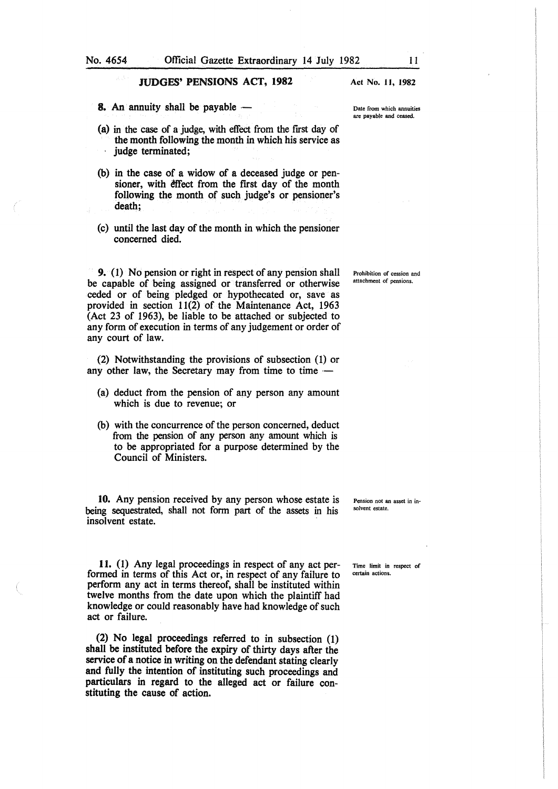8. An annuity shall be payable  $-$ 

- (a) in the case of a judge, with effect from the first day of the month following the month in which his service as judge terminated;
- (b) in the case of a widow of a deceased judge or pensioner, with effect from the first day of the month following the month of such judge's or pensioner's death;
- (c) until the last day of the month in which the pensioner concerned died.

9. (1) No pension or right in respect of any pension shall be capable of being assigned or transferred or otherwise ceded or of being pledged or hypothecated or, save as provided in section 11(2) of the Maintenance Act, 1963 (Act 23 of 1963), be liable to be attached or subjected to any form of execution in terms of any judgement or order of any court of law.

(2) Notwithstanding the provisions of subsection (1) or any other law, the Secretary may from time to time  $-$ 

- (a) deduct from the pension of any person any amount which is due to revenue; or
- (b) with the concurrence of the person concerned, deduct from the pension of any person any amount which is to be appropriated for a purpose determined by the Council of Ministers.

10. Any pension received by any person whose estate is being sequestrated, shall not form part of the assets in his insolvent estate.

11. (1) Any legal proceedings in respect of any act performed in terms of this Act or, in respect of any failure to perform any act in terms thereof, shall be instituted within twelve months from the date upon which the plaintiff had knowledge or could reasonably have had knowledge of such act or failure.

(2) No legal proceedings referred to in subsection (1) shall be instituted before the expiry of thirty days after the service of a notice in writing on the defendant stating clearly and fully the intention of instituting such proceedings and particulars in regard to the alleged act or failure constituting the cause of action.

Act No. II, 1982

Date from which annuities are payable and ceased.

Prohibition of cession and attachment of pensions.

Pension not an asset in insolvent estate.

Time limit in respect of certain actions.